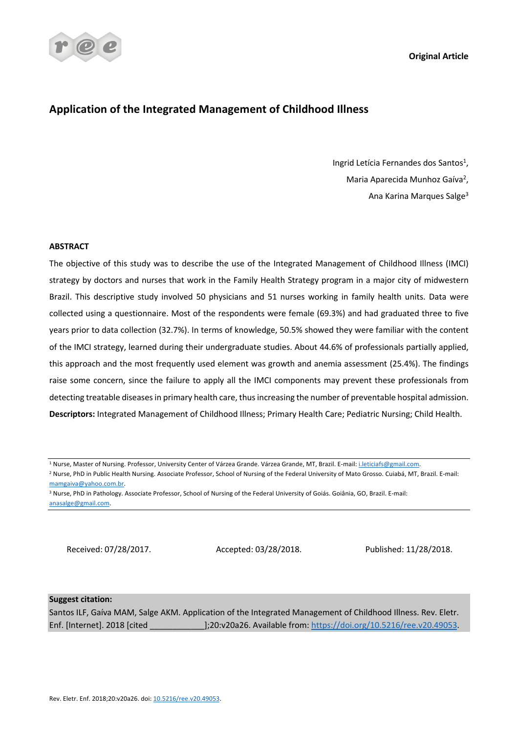**Original Article**



# **Application of the Integrated Management of Childhood Illness**

Ingrid Letícia Fernandes dos Santos<sup>1</sup>, Maria Aparecida Munhoz Gaíva<sup>2</sup>, Ana Karina Marques Salge<sup>3</sup>

## **ABSTRACT**

The objective of this study was to describe the use of the Integrated Management of Childhood Illness (IMCI) strategy by doctors and nurses that work in the Family Health Strategy program in a major city of midwestern Brazil. This descriptive study involved 50 physicians and 51 nurses working in family health units. Data were collected using a questionnaire. Most of the respondents were female (69.3%) and had graduated three to five years prior to data collection (32.7%). In terms of knowledge, 50.5% showed they were familiar with the content of the IMCI strategy, learned during their undergraduate studies. About 44.6% of professionals partially applied, this approach and the most frequently used element was growth and anemia assessment (25.4%). The findings raise some concern, since the failure to apply all the IMCI components may prevent these professionals from detecting treatable diseases in primary health care, thus increasing the number of preventable hospital admission. **Descriptors:** Integrated Management of Childhood Illness; Primary Health Care; Pediatric Nursing; Child Health.

<sup>1</sup> Nurse, Master of Nursing. Professor, University Center of Várzea Grande. Várzea Grande, MT, Brazil. E-mail: i.leticiafs@gmail.com.

<sup>2</sup> Nurse, PhD in Public Health Nursing. Associate Professor, School of Nursing of the Federal University of Mato Grosso. Cuiabá, MT, Brazil. E-mail: mamgaiva@yahoo.com.br.

Received: 07/28/2017. Accepted: 03/28/2018. Published: 11/28/2018.

## **Suggest citation:**

Santos ILF, Gaíva MAM, Salge AKM. Application of the Integrated Management of Childhood Illness. Rev. Eletr. Enf. [Internet]. 2018 [cited \_\_\_\_\_\_\_\_\_\_\_\_];20:v20a26. Available from: https://doi.org/10.5216/ree.v20.49053.

<sup>3</sup> Nurse, PhD in Pathology. Associate Professor, School of Nursing of the Federal University of Goiás. Goiânia, GO, Brazil. E-mail: anasalge@gmail.com.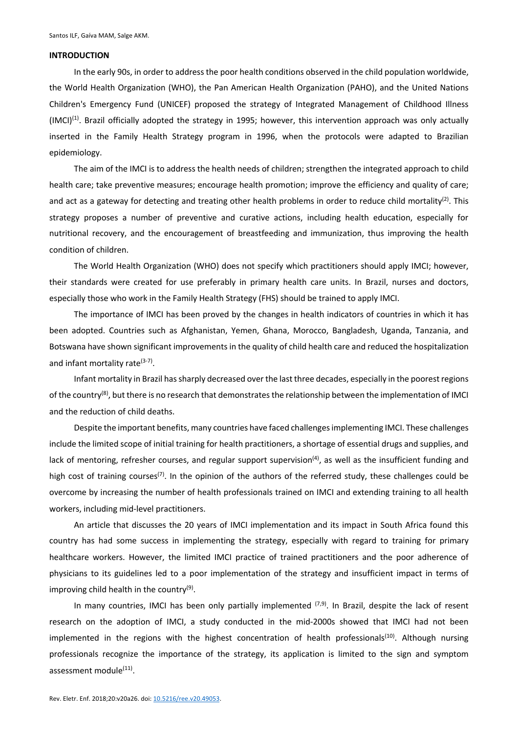#### **INTRODUCTION**

In the early 90s, in order to address the poor health conditions observed in the child population worldwide, the World Health Organization (WHO), the Pan American Health Organization (PAHO), and the United Nations Children's Emergency Fund (UNICEF) proposed the strategy of Integrated Management of Childhood Illness  $(MCI)^{(1)}$ . Brazil officially adopted the strategy in 1995; however, this intervention approach was only actually inserted in the Family Health Strategy program in 1996, when the protocols were adapted to Brazilian epidemiology.

The aim of the IMCI is to address the health needs of children; strengthen the integrated approach to child health care; take preventive measures; encourage health promotion; improve the efficiency and quality of care; and act as a gateway for detecting and treating other health problems in order to reduce child mortality<sup>(2)</sup>. This strategy proposes a number of preventive and curative actions, including health education, especially for nutritional recovery, and the encouragement of breastfeeding and immunization, thus improving the health condition of children.

The World Health Organization (WHO) does not specify which practitioners should apply IMCI; however, their standards were created for use preferably in primary health care units. In Brazil, nurses and doctors, especially those who work in the Family Health Strategy (FHS) should be trained to apply IMCI.

The importance of IMCI has been proved by the changes in health indicators of countries in which it has been adopted. Countries such as Afghanistan, Yemen, Ghana, Morocco, Bangladesh, Uganda, Tanzania, and Botswana have shown significant improvements in the quality of child health care and reduced the hospitalization and infant mortality rate $(3-7)$ .

Infant mortality in Brazil has sharply decreased over the last three decades, especially in the poorest regions of the country<sup>(8)</sup>, but there is no research that demonstrates the relationship between the implementation of IMCI and the reduction of child deaths.

Despite the important benefits, many countries have faced challenges implementing IMCI. These challenges include the limited scope of initial training for health practitioners, a shortage of essential drugs and supplies, and lack of mentoring, refresher courses, and regular support supervision<sup>(4)</sup>, as well as the insufficient funding and high cost of training courses<sup>(7)</sup>. In the opinion of the authors of the referred study, these challenges could be overcome by increasing the number of health professionals trained on IMCI and extending training to all health workers, including mid-level practitioners.

An article that discusses the 20 years of IMCI implementation and its impact in South Africa found this country has had some success in implementing the strategy, especially with regard to training for primary healthcare workers. However, the limited IMCI practice of trained practitioners and the poor adherence of physicians to its guidelines led to a poor implementation of the strategy and insufficient impact in terms of improving child health in the country $(9)$ .

In many countries, IMCI has been only partially implemented  $^{(7,9)}$ . In Brazil, despite the lack of resent research on the adoption of IMCI, a study conducted in the mid-2000s showed that IMCI had not been implemented in the regions with the highest concentration of health professionals<sup>(10)</sup>. Although nursing professionals recognize the importance of the strategy, its application is limited to the sign and symptom assessment module<sup>(11)</sup>.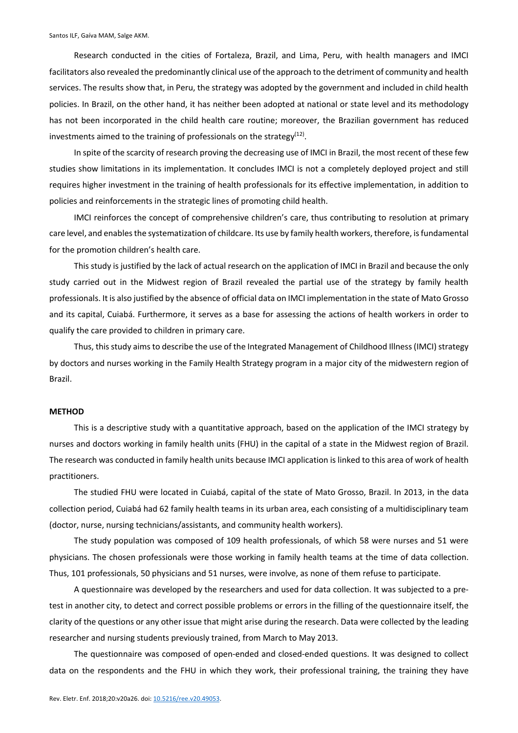Research conducted in the cities of Fortaleza, Brazil, and Lima, Peru, with health managers and IMCI facilitators also revealed the predominantly clinical use of the approach to the detriment of community and health services. The results show that, in Peru, the strategy was adopted by the government and included in child health policies. In Brazil, on the other hand, it has neither been adopted at national or state level and its methodology has not been incorporated in the child health care routine; moreover, the Brazilian government has reduced investments aimed to the training of professionals on the strategy $(12)$ .

In spite of the scarcity of research proving the decreasing use of IMCI in Brazil, the most recent of these few studies show limitations in its implementation. It concludes IMCI is not a completely deployed project and still requires higher investment in the training of health professionals for its effective implementation, in addition to policies and reinforcements in the strategic lines of promoting child health.

IMCI reinforces the concept of comprehensive children's care, thus contributing to resolution at primary care level, and enables the systematization of childcare. Its use by family health workers, therefore, is fundamental for the promotion children's health care.

This study is justified by the lack of actual research on the application of IMCI in Brazil and because the only study carried out in the Midwest region of Brazil revealed the partial use of the strategy by family health professionals. It is also justified by the absence of official data on IMCI implementation in the state of Mato Grosso and its capital, Cuiabá. Furthermore, it serves as a base for assessing the actions of health workers in order to qualify the care provided to children in primary care.

Thus, this study aims to describe the use of the Integrated Management of Childhood Illness (IMCI) strategy by doctors and nurses working in the Family Health Strategy program in a major city of the midwestern region of Brazil.

## **METHOD**

This is a descriptive study with a quantitative approach, based on the application of the IMCI strategy by nurses and doctors working in family health units (FHU) in the capital of a state in the Midwest region of Brazil. The research was conducted in family health units because IMCI application is linked to this area of work of health practitioners.

The studied FHU were located in Cuiabá, capital of the state of Mato Grosso, Brazil. In 2013, in the data collection period, Cuiabá had 62 family health teams in its urban area, each consisting of a multidisciplinary team (doctor, nurse, nursing technicians/assistants, and community health workers).

The study population was composed of 109 health professionals, of which 58 were nurses and 51 were physicians. The chosen professionals were those working in family health teams at the time of data collection. Thus, 101 professionals, 50 physicians and 51 nurses, were involve, as none of them refuse to participate.

A questionnaire was developed by the researchers and used for data collection. It was subjected to a pretest in another city, to detect and correct possible problems or errors in the filling of the questionnaire itself, the clarity of the questions or any other issue that might arise during the research. Data were collected by the leading researcher and nursing students previously trained, from March to May 2013.

The questionnaire was composed of open-ended and closed-ended questions. It was designed to collect data on the respondents and the FHU in which they work, their professional training, the training they have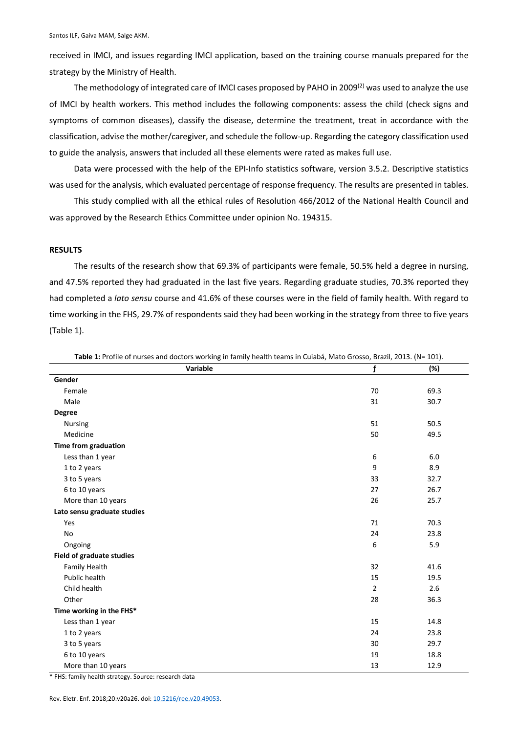received in IMCI, and issues regarding IMCI application, based on the training course manuals prepared for the strategy by the Ministry of Health.

The methodology of integrated care of IMCI cases proposed by PAHO in 2009 $^{(2)}$  was used to analyze the use of IMCI by health workers. This method includes the following components: assess the child (check signs and symptoms of common diseases), classify the disease, determine the treatment, treat in accordance with the classification, advise the mother/caregiver, and schedule the follow-up. Regarding the category classification used to guide the analysis, answers that included all these elements were rated as makes full use.

Data were processed with the help of the EPI-Info statistics software, version 3.5.2. Descriptive statistics was used for the analysis, which evaluated percentage of response frequency. The results are presented in tables.

This study complied with all the ethical rules of Resolution 466/2012 of the National Health Council and was approved by the Research Ethics Committee under opinion No. 194315.

### **RESULTS**

The results of the research show that 69.3% of participants were female, 50.5% held a degree in nursing, and 47.5% reported they had graduated in the last five years. Regarding graduate studies, 70.3% reported they had completed a *lato sensu* course and 41.6% of these courses were in the field of family health. With regard to time working in the FHS, 29.7% of respondents said they had been working in the strategy from three to five years (Table 1).

| Variable                         | $\mathbf f$    | (%)  |
|----------------------------------|----------------|------|
| Gender                           |                |      |
| Female                           | 70             | 69.3 |
| Male                             | 31             | 30.7 |
| <b>Degree</b>                    |                |      |
| <b>Nursing</b>                   | 51             | 50.5 |
| Medicine                         | 50             | 49.5 |
| Time from graduation             |                |      |
| Less than 1 year                 | 6              | 6.0  |
| 1 to 2 years                     | 9              | 8.9  |
| 3 to 5 years                     | 33             | 32.7 |
| 6 to 10 years                    | 27             | 26.7 |
| More than 10 years               | 26             | 25.7 |
| Lato sensu graduate studies      |                |      |
| Yes                              | 71             | 70.3 |
| No                               | 24             | 23.8 |
| Ongoing                          | 6              | 5.9  |
| <b>Field of graduate studies</b> |                |      |
| Family Health                    | 32             | 41.6 |
| Public health                    | 15             | 19.5 |
| Child health                     | $\overline{2}$ | 2.6  |
| Other                            | 28             | 36.3 |
| Time working in the FHS*         |                |      |
| Less than 1 year                 | 15             | 14.8 |
| 1 to 2 years                     | 24             | 23.8 |
| 3 to 5 years                     | 30             | 29.7 |
| 6 to 10 years                    | 19             | 18.8 |
| More than 10 years               | 13             | 12.9 |

**Table 1:** Profile of nurses and doctors working in family health teams in Cuiabá, Mato Grosso, Brazil, 2013. (N= 101).

\* FHS: family health strategy. Source: research data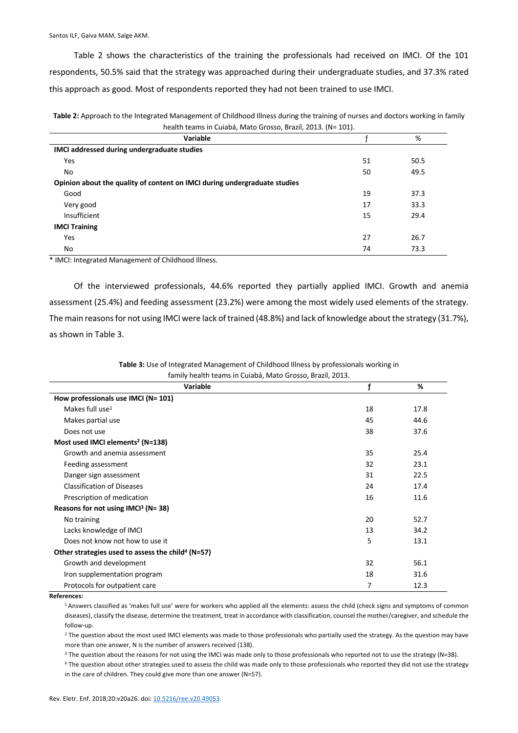Table 2 shows the characteristics of the training the professionals had received on IMCI. Of the 101 respondents, 50.5% said that the strategy was approached during their undergraduate studies, and 37.3% rated this approach as good. Most of respondents reported they had not been trained to use IMCI.

| Table 2: Approach to the Integrated Management of Childhood Illness during the training of nurses and doctors working in family |
|---------------------------------------------------------------------------------------------------------------------------------|
| health teams in Cuiabá, Mato Grosso, Brazil, 2013. (N= 101).                                                                    |

| Variable                                                                  |    | %    |
|---------------------------------------------------------------------------|----|------|
| IMCI addressed during undergraduate studies                               |    |      |
| Yes                                                                       | 51 | 50.5 |
| No                                                                        | 50 | 49.5 |
| Opinion about the quality of content on IMCI during undergraduate studies |    |      |
| Good                                                                      | 19 | 37.3 |
| Very good                                                                 | 17 | 33.3 |
| Insufficient                                                              | 15 | 29.4 |
| <b>IMCI Training</b>                                                      |    |      |
| Yes                                                                       | 27 | 26.7 |
| No                                                                        | 74 | 73.3 |

\* IMCI: Integrated Management of Childhood Illness.

Of the interviewed professionals, 44.6% reported they partially applied IMCI. Growth and anemia assessment (25.4%) and feeding assessment (23.2%) were among the most widely used elements of the strategy. The main reasons for not using IMCI were lack of trained (48.8%) and lack of knowledge about the strategy (31.7%), as shown in Table 3.

> **Table 3:** Use of Integrated Management of Childhood Illness by professionals working in family health teams in Cuiabá, Mato Grosso, Brazil, 2013.

| Variable                                                      |    | %    |
|---------------------------------------------------------------|----|------|
| How professionals use IMCI (N= 101)                           |    |      |
| Makes full use $1$                                            | 18 | 17.8 |
| Makes partial use                                             | 45 | 44.6 |
| Does not use                                                  | 38 | 37.6 |
| Most used IMCI elements <sup>2</sup> (N=138)                  |    |      |
| Growth and anemia assessment                                  | 35 | 25.4 |
| Feeding assessment                                            | 32 | 23.1 |
| Danger sign assessment                                        | 31 | 22.5 |
| <b>Classification of Diseases</b>                             | 24 | 17.4 |
| Prescription of medication                                    | 16 | 11.6 |
| Reasons for not using IMCI <sup>3</sup> (N=38)                |    |      |
| No training                                                   | 20 | 52.7 |
| Lacks knowledge of IMCI                                       | 13 | 34.2 |
| Does not know not how to use it                               | 5  | 13.1 |
| Other strategies used to assess the child <sup>4</sup> (N=57) |    |      |
| Growth and development                                        | 32 | 56.1 |
| Iron supplementation program                                  | 18 | 31.6 |
| Protocols for outpatient care                                 | 7  | 12.3 |

**References:**

<sup>1</sup> Answers classified as 'makes full use' were for workers who applied all the elements: assess the child (check signs and symptoms of common diseases), classify the disease, determine the treatment, treat in accordance with classification, counsel the mother/caregiver, and schedule the follow-up.

<sup>2</sup> The question about the most used IMCI elements was made to those professionals who partially used the strategy. As the question may have more than one answer, N is the number of answers received (138).

<sup>3</sup> The question about the reasons for not using the IMCI was made only to those professionals who reported not to use the strategy (N=38).

<sup>4</sup> The question about other strategies used to assess the child was made only to those professionals who reported they did not use the strategy in the care of children. They could give more than one answer (N=57).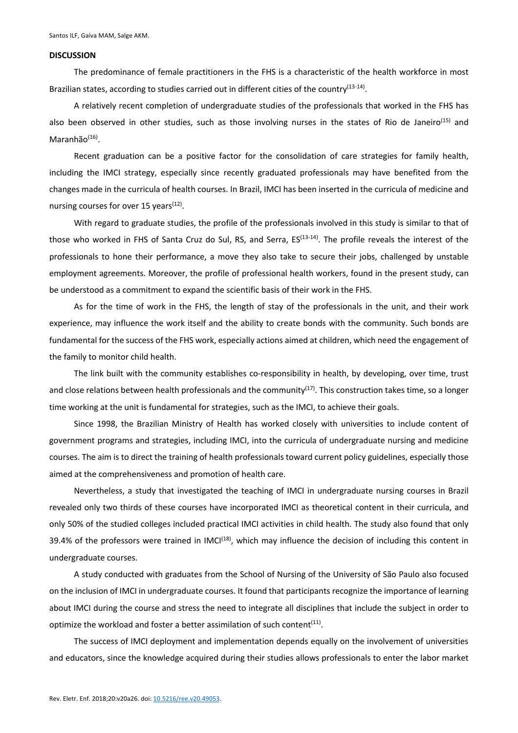#### **DISCUSSION**

The predominance of female practitioners in the FHS is a characteristic of the health workforce in most Brazilian states, according to studies carried out in different cities of the country<sup>(13-14)</sup>.

A relatively recent completion of undergraduate studies of the professionals that worked in the FHS has also been observed in other studies, such as those involving nurses in the states of Rio de Janeiro<sup>(15)</sup> and Maranhão $(16)$ .

Recent graduation can be a positive factor for the consolidation of care strategies for family health, including the IMCI strategy, especially since recently graduated professionals may have benefited from the changes made in the curricula of health courses. In Brazil, IMCI has been inserted in the curricula of medicine and nursing courses for over 15 years $(12)$ .

With regard to graduate studies, the profile of the professionals involved in this study is similar to that of those who worked in FHS of Santa Cruz do Sul, RS, and Serra, ES<sup>(13-14)</sup>. The profile reveals the interest of the professionals to hone their performance, a move they also take to secure their jobs, challenged by unstable employment agreements. Moreover, the profile of professional health workers, found in the present study, can be understood as a commitment to expand the scientific basis of their work in the FHS.

As for the time of work in the FHS, the length of stay of the professionals in the unit, and their work experience, may influence the work itself and the ability to create bonds with the community. Such bonds are fundamental for the success of the FHS work, especially actions aimed at children, which need the engagement of the family to monitor child health.

The link built with the community establishes co-responsibility in health, by developing, over time, trust and close relations between health professionals and the community<sup>(17)</sup>. This construction takes time, so a longer time working at the unit is fundamental for strategies, such as the IMCI, to achieve their goals.

Since 1998, the Brazilian Ministry of Health has worked closely with universities to include content of government programs and strategies, including IMCI, into the curricula of undergraduate nursing and medicine courses. The aim is to direct the training of health professionals toward current policy guidelines, especially those aimed at the comprehensiveness and promotion of health care.

Nevertheless, a study that investigated the teaching of IMCI in undergraduate nursing courses in Brazil revealed only two thirds of these courses have incorporated IMCI as theoretical content in their curricula, and only 50% of the studied colleges included practical IMCI activities in child health. The study also found that only 39.4% of the professors were trained in IMCI<sup>(18)</sup>, which may influence the decision of including this content in undergraduate courses.

A study conducted with graduates from the School of Nursing of the University of São Paulo also focused on the inclusion of IMCI in undergraduate courses. It found that participants recognize the importance of learning about IMCI during the course and stress the need to integrate all disciplines that include the subject in order to optimize the workload and foster a better assimilation of such content<sup>(11)</sup>.

The success of IMCI deployment and implementation depends equally on the involvement of universities and educators, since the knowledge acquired during their studies allows professionals to enter the labor market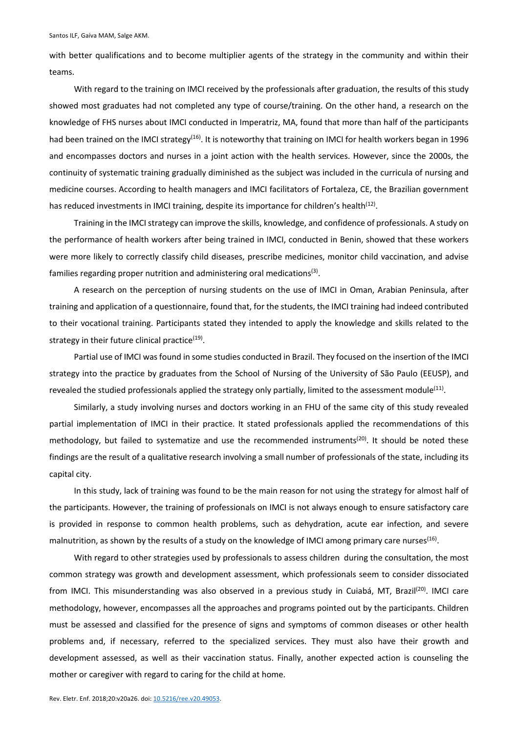with better qualifications and to become multiplier agents of the strategy in the community and within their teams.

With regard to the training on IMCI received by the professionals after graduation, the results of this study showed most graduates had not completed any type of course/training. On the other hand, a research on the knowledge of FHS nurses about IMCI conducted in Imperatriz, MA, found that more than half of the participants had been trained on the IMCI strategy<sup>(16)</sup>. It is noteworthy that training on IMCI for health workers began in 1996 and encompasses doctors and nurses in a joint action with the health services. However, since the 2000s, the continuity of systematic training gradually diminished as the subject was included in the curricula of nursing and medicine courses. According to health managers and IMCI facilitators of Fortaleza, CE, the Brazilian government has reduced investments in IMCI training, despite its importance for children's health<sup>(12)</sup>.

Training in the IMCI strategy can improve the skills, knowledge, and confidence of professionals. A study on the performance of health workers after being trained in IMCI, conducted in Benin, showed that these workers were more likely to correctly classify child diseases, prescribe medicines, monitor child vaccination, and advise families regarding proper nutrition and administering oral medications(3).

A research on the perception of nursing students on the use of IMCI in Oman, Arabian Peninsula, after training and application of a questionnaire, found that, for the students, the IMCI training had indeed contributed to their vocational training. Participants stated they intended to apply the knowledge and skills related to the strategy in their future clinical practice $(19)$ .

Partial use of IMCI was found in some studies conducted in Brazil. They focused on the insertion of the IMCI strategy into the practice by graduates from the School of Nursing of the University of São Paulo (EEUSP), and revealed the studied professionals applied the strategy only partially, limited to the assessment module $(11)$ .

Similarly, a study involving nurses and doctors working in an FHU of the same city of this study revealed partial implementation of IMCI in their practice. It stated professionals applied the recommendations of this methodology, but failed to systematize and use the recommended instruments<sup>(20)</sup>. It should be noted these findings are the result of a qualitative research involving a small number of professionals of the state, including its capital city.

In this study, lack of training was found to be the main reason for not using the strategy for almost half of the participants. However, the training of professionals on IMCI is not always enough to ensure satisfactory care is provided in response to common health problems, such as dehydration, acute ear infection, and severe malnutrition, as shown by the results of a study on the knowledge of IMCI among primary care nurses<sup>(16)</sup>.

With regard to other strategies used by professionals to assess children during the consultation, the most common strategy was growth and development assessment, which professionals seem to consider dissociated from IMCI. This misunderstanding was also observed in a previous study in Cuiabá, MT, Brazil<sup>(20)</sup>. IMCI care methodology, however, encompasses all the approaches and programs pointed out by the participants. Children must be assessed and classified for the presence of signs and symptoms of common diseases or other health problems and, if necessary, referred to the specialized services. They must also have their growth and development assessed, as well as their vaccination status. Finally, another expected action is counseling the mother or caregiver with regard to caring for the child at home.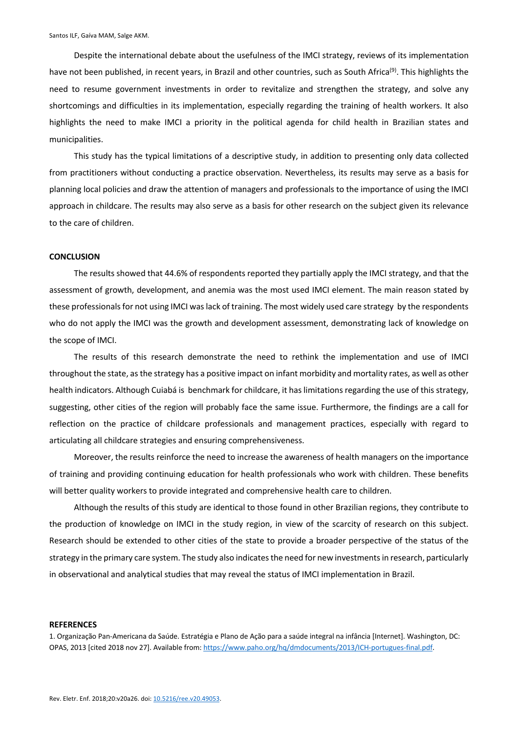Despite the international debate about the usefulness of the IMCI strategy, reviews of its implementation have not been published, in recent years, in Brazil and other countries, such as South Africa<sup>(9)</sup>. This highlights the need to resume government investments in order to revitalize and strengthen the strategy, and solve any shortcomings and difficulties in its implementation, especially regarding the training of health workers. It also highlights the need to make IMCI a priority in the political agenda for child health in Brazilian states and municipalities.

This study has the typical limitations of a descriptive study, in addition to presenting only data collected from practitioners without conducting a practice observation. Nevertheless, its results may serve as a basis for planning local policies and draw the attention of managers and professionals to the importance of using the IMCI approach in childcare. The results may also serve as a basis for other research on the subject given its relevance to the care of children.

### **CONCLUSION**

The results showed that 44.6% of respondents reported they partially apply the IMCI strategy, and that the assessment of growth, development, and anemia was the most used IMCI element. The main reason stated by these professionals for not using IMCI was lack of training. The most widely used care strategy by the respondents who do not apply the IMCI was the growth and development assessment, demonstrating lack of knowledge on the scope of IMCI.

The results of this research demonstrate the need to rethink the implementation and use of IMCI throughout the state, as the strategy has a positive impact on infant morbidity and mortality rates, as well as other health indicators. Although Cuiabá is benchmark for childcare, it has limitations regarding the use of this strategy, suggesting, other cities of the region will probably face the same issue. Furthermore, the findings are a call for reflection on the practice of childcare professionals and management practices, especially with regard to articulating all childcare strategies and ensuring comprehensiveness.

Moreover, the results reinforce the need to increase the awareness of health managers on the importance of training and providing continuing education for health professionals who work with children. These benefits will better quality workers to provide integrated and comprehensive health care to children.

Although the results of this study are identical to those found in other Brazilian regions, they contribute to the production of knowledge on IMCI in the study region, in view of the scarcity of research on this subject. Research should be extended to other cities of the state to provide a broader perspective of the status of the strategy in the primary care system. The study also indicates the need for new investments in research, particularly in observational and analytical studies that may reveal the status of IMCI implementation in Brazil.

#### **REFERENCES**

1. Organização Pan-Americana da Saúde. Estratégia e Plano de Ação para a saúde integral na infância [Internet]. Washington, DC: OPAS, 2013 [cited 2018 nov 27]. Available from: https://www.paho.org/hq/dmdocuments/2013/ICH-portugues-final.pdf.